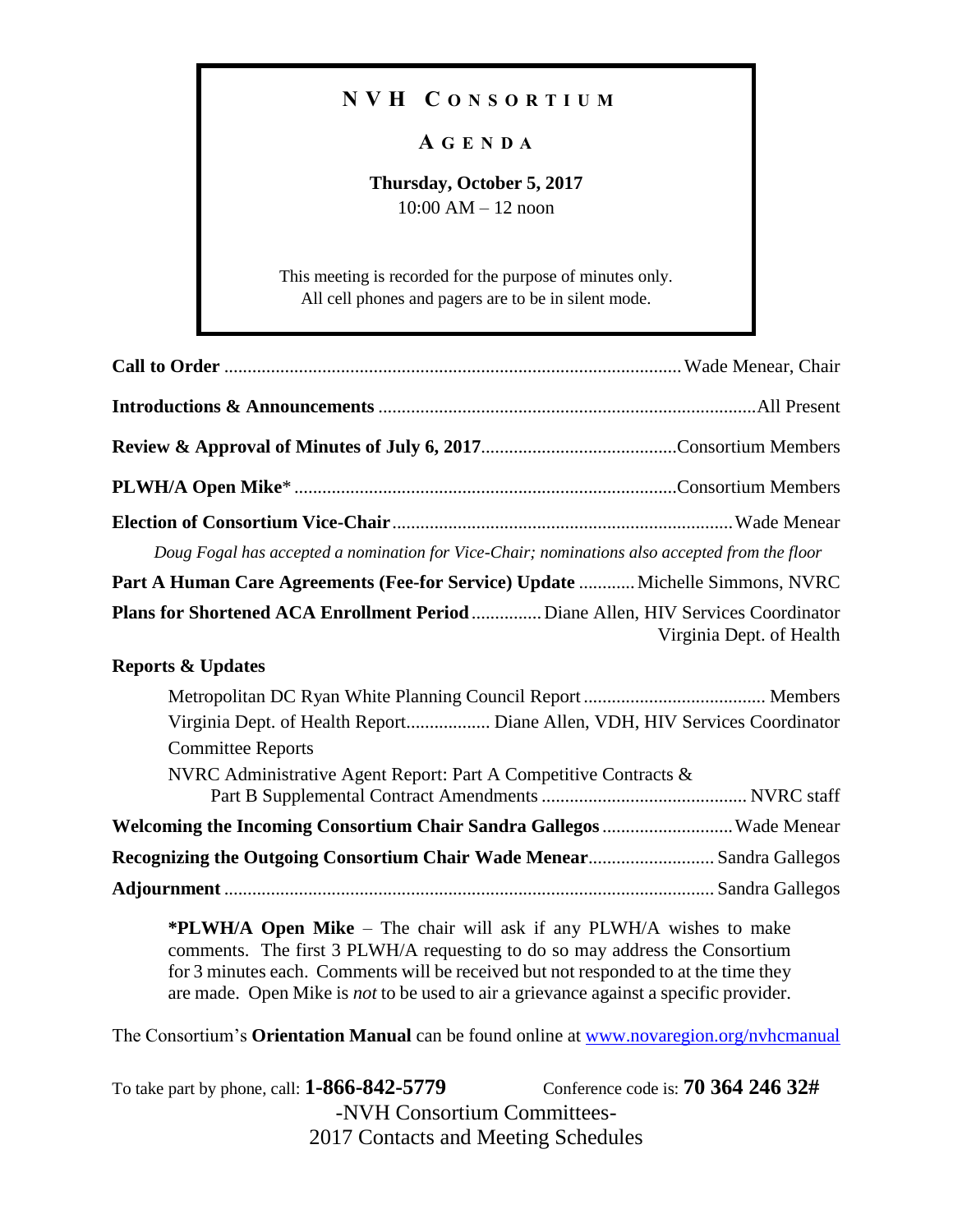## **N V H C O N S O R T I U M**

## **A G E N D A**

## **Thursday, October 5, 2017** 10:00 AM – 12 noon

This meeting is recorded for the purpose of minutes only. All cell phones and pagers are to be in silent mode.

| Doug Fogal has accepted a nomination for Vice-Chair; nominations also accepted from the floor                                                                                                                                                                                                                                      |                                           |  |  |
|------------------------------------------------------------------------------------------------------------------------------------------------------------------------------------------------------------------------------------------------------------------------------------------------------------------------------------|-------------------------------------------|--|--|
| Part A Human Care Agreements (Fee-for Service) Update  Michelle Simmons, NVRC                                                                                                                                                                                                                                                      |                                           |  |  |
| Plans for Shortened ACA Enrollment Period  Diane Allen, HIV Services Coordinator                                                                                                                                                                                                                                                   | Virginia Dept. of Health                  |  |  |
| <b>Reports &amp; Updates</b>                                                                                                                                                                                                                                                                                                       |                                           |  |  |
| Virginia Dept. of Health Report Diane Allen, VDH, HIV Services Coordinator<br><b>Committee Reports</b>                                                                                                                                                                                                                             |                                           |  |  |
| NVRC Administrative Agent Report: Part A Competitive Contracts &                                                                                                                                                                                                                                                                   |                                           |  |  |
| Welcoming the Incoming Consortium Chair Sandra Gallegos  Wade Menear                                                                                                                                                                                                                                                               |                                           |  |  |
| Recognizing the Outgoing Consortium Chair Wade Menear Sandra Gallegos                                                                                                                                                                                                                                                              |                                           |  |  |
|                                                                                                                                                                                                                                                                                                                                    |                                           |  |  |
| *PLWH/A Open Mike – The chair will ask if any PLWH/A wishes to make<br>comments. The first 3 PLWH/A requesting to do so may address the Consortium<br>for 3 minutes each. Comments will be received but not responded to at the time they<br>are made. Open Mike is not to be used to air a grievance against a specific provider. |                                           |  |  |
| The Consortium's Orientation Manual can be found online at www.novaregion.org/nyhcmanual                                                                                                                                                                                                                                           |                                           |  |  |
| To take part by phone, call: <b>1-866-842-5779</b><br>-NVH Consortium Committees-                                                                                                                                                                                                                                                  | Conference code is: <b>70 364 246 32#</b> |  |  |

2017 Contacts and Meeting Schedules